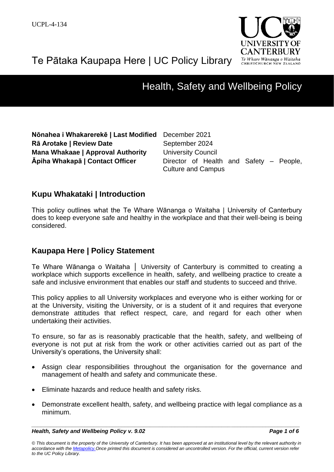



# Health, Safety and Wellbeing Policy

| Nõnahea i Whakarerekē   Last Modified    |  |  |  |  |  |
|------------------------------------------|--|--|--|--|--|
| Rā Arotake   Review Date                 |  |  |  |  |  |
| <b>Mana Whakaae   Approval Authority</b> |  |  |  |  |  |
| <b>Āpiha Whakapā   Contact Officer</b>   |  |  |  |  |  |

December 2021 September 2024 *University Council* Director of Health and Safety – People, Culture and Campus

# **Kupu Whakataki | Introduction**

This policy outlines what the Te Whare Wānanga o Waitaha | University of Canterbury does to keep everyone safe and healthy in the workplace and that their well-being is being considered.

# **Kaupapa Here | Policy Statement**

Te Whare Wānanga o Waitaha │ University of Canterbury is committed to creating a workplace which supports excellence in health, safety, and wellbeing practice to create a safe and inclusive environment that enables our staff and students to succeed and thrive.

This policy applies to all University workplaces and everyone who is either working for or at the University, visiting the University, or is a student of it and requires that everyone demonstrate attitudes that reflect respect, care, and regard for each other when undertaking their activities.

To ensure, so far as is reasonably practicable that the health, safety, and wellbeing of everyone is not put at risk from the work or other activities carried out as part of the University's operations, the University shall:

- Assign clear responsibilities throughout the organisation for the governance and management of health and safety and communicate these.
- Eliminate hazards and reduce health and safety risks.
- Demonstrate excellent health, safety, and wellbeing practice with legal compliance as a minimum.

*\_\_\_\_\_\_\_\_\_\_\_\_\_\_\_\_\_\_\_\_\_\_\_\_\_\_\_\_\_\_\_\_\_\_\_\_\_\_\_\_\_\_\_\_\_\_\_\_\_\_\_\_\_\_\_\_\_\_\_\_\_\_\_\_\_\_\_\_\_\_\_\_\_\_\_\_\_\_\_\_\_\_\_\_\_\_ Health, Safety and Wellbeing Policy v. 9.02 Page 1 of 6*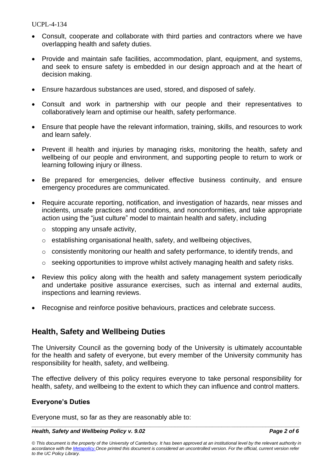- Consult, cooperate and collaborate with third parties and contractors where we have overlapping health and safety duties.
- Provide and maintain safe facilities, accommodation, plant, equipment, and systems, and seek to ensure safety is embedded in our design approach and at the heart of decision making.
- Ensure hazardous substances are used, stored, and disposed of safely.
- Consult and work in partnership with our people and their representatives to collaboratively learn and optimise our health, safety performance.
- Ensure that people have the relevant information, training, skills, and resources to work and learn safely.
- Prevent ill health and injuries by managing risks, monitoring the health, safety and wellbeing of our people and environment, and supporting people to return to work or learning following injury or illness.
- Be prepared for emergencies, deliver effective business continuity, and ensure emergency procedures are communicated.
- Require accurate reporting, notification, and investigation of hazards, near misses and incidents, unsafe practices and conditions, and nonconformities, and take appropriate action using the "just culture" model to maintain health and safety, including
	- o stopping any unsafe activity,
	- o establishing organisational health, safety, and wellbeing objectives,
	- o consistently monitoring our health and safety performance, to identify trends, and
	- o seeking opportunities to improve whilst actively managing health and safety risks.
- Review this policy along with the health and safety management system periodically and undertake positive assurance exercises, such as internal and external audits, inspections and learning reviews.
- Recognise and reinforce positive behaviours, practices and celebrate success.

# **Health, Safety and Wellbeing Duties**

The University Council as the governing body of the University is ultimately accountable for the health and safety of everyone, but every member of the University community has responsibility for health, safety, and wellbeing.

The effective delivery of this policy requires everyone to take personal responsibility for health, safety, and wellbeing to the extent to which they can influence and control matters.

#### **Everyone's Duties**

Everyone must, so far as they are reasonably able to:

#### *\_\_\_\_\_\_\_\_\_\_\_\_\_\_\_\_\_\_\_\_\_\_\_\_\_\_\_\_\_\_\_\_\_\_\_\_\_\_\_\_\_\_\_\_\_\_\_\_\_\_\_\_\_\_\_\_\_\_\_\_\_\_\_\_\_\_\_\_\_\_\_\_\_\_\_\_\_\_\_\_\_\_\_\_\_\_ Health, Safety and Wellbeing Policy v. 9.02 Page 2 of 6*

*© This document is the property of the University of Canterbury. It has been approved at an institutional level by the relevant authority in accordance with the [Metapolicy.O](https://www.canterbury.ac.nz/about/governance/ucpolicy/staff/metapolicy/)nce printed this document is considered an uncontrolled version. For the official, current version refer to the UC Policy Library.*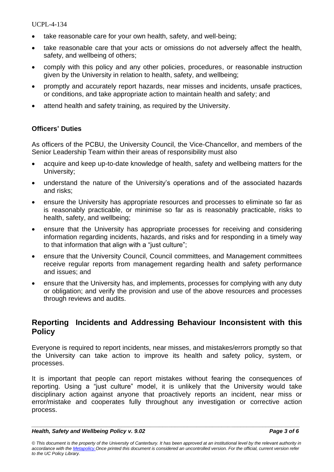- take reasonable care for your own health, safety, and well-being;
- take reasonable care that your acts or omissions do not adversely affect the health, safety, and wellbeing of others;
- comply with this policy and any other policies, procedures, or reasonable instruction given by the University in relation to health, safety, and wellbeing;
- promptly and accurately report hazards, near misses and incidents, unsafe practices, or conditions, and take appropriate action to maintain health and safety; and
- attend health and safety training, as required by the University.

### **Officers' Duties**

As officers of the PCBU, the University Council, the Vice-Chancellor, and members of the Senior Leadership Team within their areas of responsibility must also

- acquire and keep up-to-date knowledge of health, safety and wellbeing matters for the University;
- understand the nature of the University's operations and of the associated hazards and risks;
- ensure the University has appropriate resources and processes to eliminate so far as is reasonably practicable, or minimise so far as is reasonably practicable, risks to health, safety, and wellbeing;
- ensure that the University has appropriate processes for receiving and considering information regarding incidents, hazards, and risks and for responding in a timely way to that information that align with a "just culture";
- ensure that the University Council, Council committees, and Management committees receive regular reports from management regarding health and safety performance and issues; and
- ensure that the University has, and implements, processes for complying with any duty or obligation; and verify the provision and use of the above resources and processes through reviews and audits.

## **Reporting Incidents and Addressing Behaviour Inconsistent with this Policy**

Everyone is required to report incidents, near misses, and mistakes/errors promptly so that the University can take action to improve its health and safety policy, system, or processes.

It is important that people can report mistakes without fearing the consequences of reporting. Using a "just culture" model, it is unlikely that the University would take disciplinary action against anyone that proactively reports an incident, near miss or error/mistake and cooperates fully throughout any investigation or corrective action process.

*\_\_\_\_\_\_\_\_\_\_\_\_\_\_\_\_\_\_\_\_\_\_\_\_\_\_\_\_\_\_\_\_\_\_\_\_\_\_\_\_\_\_\_\_\_\_\_\_\_\_\_\_\_\_\_\_\_\_\_\_\_\_\_\_\_\_\_\_\_\_\_\_\_\_\_\_\_\_\_\_\_\_\_\_\_\_*

*<sup>©</sup> This document is the property of the University of Canterbury. It has been approved at an institutional level by the relevant authority in accordance with the [Metapolicy.O](https://www.canterbury.ac.nz/about/governance/ucpolicy/staff/metapolicy/)nce printed this document is considered an uncontrolled version. For the official, current version refer to the UC Policy Library.*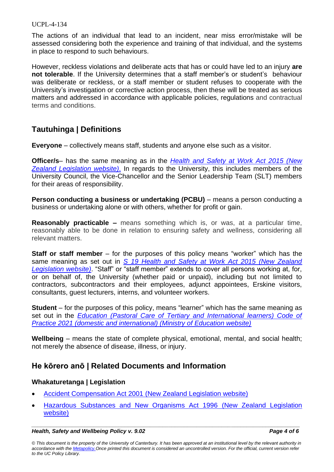The actions of an individual that lead to an incident, near miss error/mistake will be assessed considering both the experience and training of that individual, and the systems in place to respond to such behaviours.

However, reckless violations and deliberate acts that has or could have led to an injury **are not tolerable**. If the University determines that a staff member's or student's behaviour was deliberate or reckless, or a staff member or student refuses to cooperate with the University's investigation or corrective action process, then these will be treated as serious matters and addressed in accordance with applicable policies, regulations and contractual terms and conditions.

# **Tautuhinga | Definitions**

**Everyone** – collectively means staff, students and anyone else such as a visitor.

**Officer/s**– has the same meaning as in the *[Health and Safety at Work Act 2015 \(New](http://www.legislation.govt.nz/act/public/2015/0070/latest/DLM6544131.html)  [Zealand Legislation website\)](http://www.legislation.govt.nz/act/public/2015/0070/latest/DLM6544131.html)*. In regards to the University, this includes members of the University Council, the Vice-Chancellor and the Senior Leadership Team (SLT) members for their areas of responsibility.

**Person conducting a business or undertaking (PCBU)** – means a person conducting a business or undertaking alone or with others, whether for profit or gain.

**Reasonably practicable –** means something which is, or was, at a particular time, reasonably able to be done in relation to ensuring safety and wellness, considering all relevant matters.

**Staff or staff member** – for the purposes of this policy means "worker" which has the same meaning as set out in *S 19 [Health and Safety at Work Act 2015 \(New Zealand](http://www.legislation.govt.nz/act/public/2015/0070/latest/DLM5976853.html)  [Legislation website\)](http://www.legislation.govt.nz/act/public/2015/0070/latest/DLM5976853.html)*. "Staff" or "staff member" extends to cover all persons working at, for, or on behalf of, the University (whether paid or unpaid), including but not limited to contractors, subcontractors and their employees, adjunct appointees, Erskine visitors, consultants, guest lecturers, interns, and volunteer workers.

**Student** – for the purposes of this policy, means "learner" which has the same meaning as set out in the *[Education \(Pastoral Care of Tertiary and International learners\) Code of](https://www.education.govt.nz/further-education/information-for-tertiary-students/code-of-practice-pastoral-care-domestic-tertiary/)  [Practice 2021 \(domestic and international\) \(Ministry of Education website\)](https://www.education.govt.nz/further-education/information-for-tertiary-students/code-of-practice-pastoral-care-domestic-tertiary/)*

**Wellbeing** – means the state of complete physical, emotional, mental, and social health; not merely the absence of disease, illness, or injury.

# **He kōrero anō | Related Documents and Information**

#### **Whakaturetanga | Legislation**

- Accident Compensation Act 2001 [\(New Zealand Legislation website\)](http://www.legislation.govt.nz/act/public/2001/0049/latest/DLM99494.html?src=qs)
- [Hazardous Substances and New Organisms Act 1996](http://www.legislation.govt.nz/act/public/1996/0030/latest/DLM381222.html) (New Zealand Legislation [website\)](http://www.legislation.govt.nz/act/public/1996/0030/latest/DLM381222.html)

#### *\_\_\_\_\_\_\_\_\_\_\_\_\_\_\_\_\_\_\_\_\_\_\_\_\_\_\_\_\_\_\_\_\_\_\_\_\_\_\_\_\_\_\_\_\_\_\_\_\_\_\_\_\_\_\_\_\_\_\_\_\_\_\_\_\_\_\_\_\_\_\_\_\_\_\_\_\_\_\_\_\_\_\_\_\_\_ Health, Safety and Wellbeing Policy v. 9.02 Page 4 of 6*

*© This document is the property of the University of Canterbury. It has been approved at an institutional level by the relevant authority in accordance with the [Metapolicy.O](https://www.canterbury.ac.nz/about/governance/ucpolicy/staff/metapolicy/)nce printed this document is considered an uncontrolled version. For the official, current version refer to the UC Policy Library.*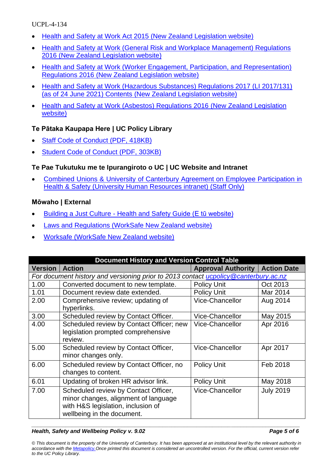- Health [and Safety at Work Act 2015 \(New Zealand Legislation website\)](https://legislation.govt.nz/act/public/2015/0070/latest/DLM5976660.html?src=qs)
- [Health and Safety at Work \(General Risk and Workplace Management\) Regulations](https://www.legislation.govt.nz/regulation/public/2016/0013/latest/DLM6727530.html)  [2016 \(New Zealand Legislation website\)](https://www.legislation.govt.nz/regulation/public/2016/0013/latest/DLM6727530.html)
- [Health and Safety at Work \(Worker Engagement, Participation, and Representation\)](https://www.legislation.govt.nz/regulation/public/2016/0016/latest/DLM6314002.html)  [Regulations 2016 \(New Zealand Legislation website\)](https://www.legislation.govt.nz/regulation/public/2016/0016/latest/DLM6314002.html)
- [Health and Safety at Work \(Hazardous Substances\) Regulations 2017 \(LI 2017/131\)](https://www.legislation.govt.nz/regulation/public/2017/0131/latest/DLM7309401.html)  (as of [24 June 2021\) Contents \(New Zealand Legislation](https://www.legislation.govt.nz/regulation/public/2017/0131/latest/DLM7309401.html) website)
- [Health and Safety at Work \(Asbestos\) Regulations 2016 \(New Zealand Legislation](https://www.legislation.govt.nz/regulation/public/2016/0015/latest/DLM6729706.html)  [website\)](https://www.legislation.govt.nz/regulation/public/2016/0015/latest/DLM6729706.html)

## **Te Pātaka Kaupapa Here | UC Policy Library**

- [Staff Code of Conduct \(PDF, 418KB\)](https://www.canterbury.ac.nz/about/governance/ucpolicy/general/staff-code-of-conduct/)
- [Student Code of Conduct \(PDF, 303KB\)](https://www.canterbury.ac.nz/about/governance/ucpolicy/general/student-code-of-conduct/)

### **Te Pae Tukutuku me te Ipurangiroto o UC | UC Website and Intranet**

• Combined Unions & University [of Canterbury Agreement on Employee Participation in](http://intranet.canterbury.ac.nz/hs/toolkit/tools/hs_msc45.pdf)  Health & Safety (University [Human Resources intranet\)](http://intranet.canterbury.ac.nz/hs/toolkit/tools/hs_msc45.pdf) (Staff Only)

#### **Mōwaho | External**

- Building a Just Culture [Health and Safety Guide \(E tū website\)](https://www.etu.nz/resources/building-a-just-culture-health-and-safety-guide/)
- [Laws and Regulations \(WorkSafe New Zealand website\)](http://www.business.govt.nz/worksafe/hswa/legislation/hswa-regulations#at-a-glance)
- [Worksafe \(WorkSafe New Zealand website\)](https://worksafe.govt.nz/)

| <b>Document History and Version Control Table</b>                                           |                                                                                                                                                  |                           |                    |  |  |
|---------------------------------------------------------------------------------------------|--------------------------------------------------------------------------------------------------------------------------------------------------|---------------------------|--------------------|--|--|
| <b>Version</b>                                                                              | <b>Action</b>                                                                                                                                    | <b>Approval Authority</b> | <b>Action Date</b> |  |  |
| For document history and versioning prior to 2013 contact <i>ucpolicy</i> @canterbury.ac.nz |                                                                                                                                                  |                           |                    |  |  |
| 1.00                                                                                        | Converted document to new template.                                                                                                              | <b>Policy Unit</b>        | Oct 2013           |  |  |
| 1.01                                                                                        | Document review date extended.                                                                                                                   | <b>Policy Unit</b>        | Mar 2014           |  |  |
| 2.00                                                                                        | Comprehensive review; updating of<br>hyperlinks.                                                                                                 | <b>Vice-Chancellor</b>    | Aug 2014           |  |  |
| 3.00                                                                                        | Scheduled review by Contact Officer.                                                                                                             | <b>Vice-Chancellor</b>    | May 2015           |  |  |
| 4.00                                                                                        | Scheduled review by Contact Officer; new<br>legislation prompted comprehensive<br>review.                                                        | <b>Vice-Chancellor</b>    | Apr 2016           |  |  |
| 5.00                                                                                        | Scheduled review by Contact Officer,<br>minor changes only.                                                                                      | <b>Vice-Chancellor</b>    | Apr 2017           |  |  |
| 6.00                                                                                        | Scheduled review by Contact Officer, no<br>changes to content.                                                                                   | <b>Policy Unit</b>        | Feb 2018           |  |  |
| 6.01                                                                                        | Updating of broken HR advisor link.                                                                                                              | <b>Policy Unit</b>        | May 2018           |  |  |
| 7.00                                                                                        | Scheduled review by Contact Officer,<br>minor changes, alignment of language<br>with H&S legislation, inclusion of<br>wellbeing in the document. | <b>Vice-Chancellor</b>    | <b>July 2019</b>   |  |  |

#### *\_\_\_\_\_\_\_\_\_\_\_\_\_\_\_\_\_\_\_\_\_\_\_\_\_\_\_\_\_\_\_\_\_\_\_\_\_\_\_\_\_\_\_\_\_\_\_\_\_\_\_\_\_\_\_\_\_\_\_\_\_\_\_\_\_\_\_\_\_\_\_\_\_\_\_\_\_\_\_\_\_\_\_\_\_\_ Health, Safety and Wellbeing Policy v. 9.02 Page 5 of 6*

*© This document is the property of the University of Canterbury. It has been approved at an institutional level by the relevant authority in accordance with the [Metapolicy.O](https://www.canterbury.ac.nz/about/governance/ucpolicy/staff/metapolicy/)nce printed this document is considered an uncontrolled version. For the official, current version refer to the UC Policy Library.*